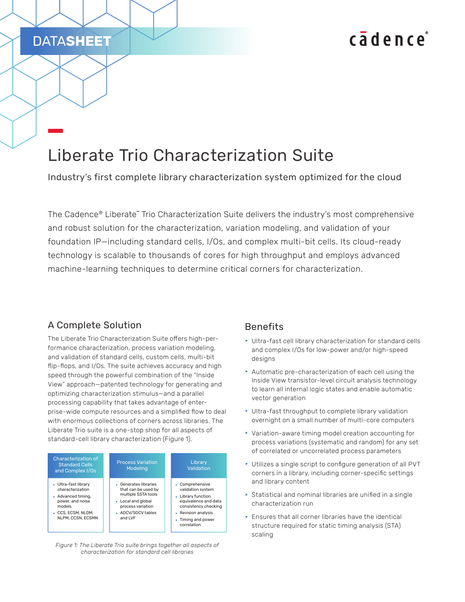# cadence

## Liberate Trio Characterization Suite

Industry's first complete library characterization system optimized for the cloud

The Cadence® Liberate™ Trio Characterization Suite delivers the industry's most comprehensive and robust solution for the characterization, variation modeling, and validation of your foundation IP—including standard cells, I/Os, and complex multi-bit cells. Its cloud-ready technology is scalable to thousands of cores for high throughput and employs advanced machine-learning techniques to determine critical corners for characterization.

#### A Complete Solution

DATA**SHEET**

The Liberate Trio Characterization Suite offers high-performance characterization, process variation modeling, and validation of standard cells, custom cells, multi-bit flip-flops, and I/Os. The suite achieves accuracy and high speed through the powerful combination of the "Inside View" approach—patented technology for generating and optimizing characterization stimulus—and a parallel processing capability that takes advantage of enterprise-wide compute resources and a simplified flow to deal with enormous collections of corners across libraries. The Liberate Trio suite is a one-stop shop for all aspects of standard-cell library characterization (Figure 1).



*Figure 1: The Liberate Trio suite brings together all aspects of characterization for standard cell libraries*

#### Benefits

- $\blacktriangleright$  Ultra-fast cell library characterization for standard cells and complex I/Os for low-power and/or high-speed designs
- $\blacktriangleright$  Automatic pre-characterization of each cell using the Inside View transistor-level circuit analysis technology to learn all internal logic states and enable automatic vector generation
- $\blacktriangleright$  Ultra-fast throughput to complete library validation overnight on a small number of multi-core computers
- $\blacktriangleright$  Variation-aware timing model creation accounting for process variations (systematic and random) for any set of correlated or uncorrelated process parameters
- $\triangleright$  Utilizes a single script to configure generation of all PVT corners in a library, including corner-specific settings and library content
- $\triangleright$  Statistical and nominal libraries are unified in a single characterization run
- $\blacktriangleright$  Ensures that all corner libraries have the identical structure required for static timing analysis (STA) scaling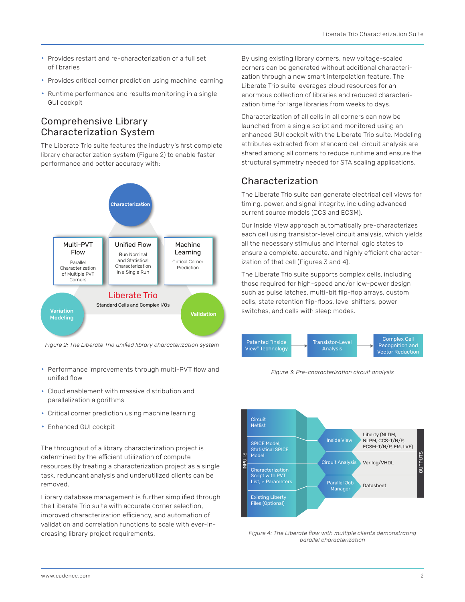- $\blacktriangleright$  Provides restart and re-characterization of a full set of libraries
- $\triangleright$  Provides critical corner prediction using machine learning
- $\triangleright$  Runtime performance and results monitoring in a single GUI cockpit

#### Comprehensive Library Characterization System

The Liberate Trio suite features the industry's first complete library characterization system (Figure 2) to enable faster performance and better accuracy with:



*Figure 2: The Liberate Trio unified library characterization system* Patented "Inside

- **Performance improvements through multi-PVT flow and** unified flow
- $\triangleright$  Cloud enablement with massive distribution and parallelization algorithms
- $\triangleright$  Critical corner prediction using machine learning
- **Enhanced GUI cockpit**

The throughput of a library characterization project is determined by the efficient utilization of compute resources.By treating a characterization project as a single task, redundant analysis and underutilized clients can be removed.

Library database management is further simplified through the Liberate Trio suite with accurate corner selection, improved characterization efficiency, and automation of validation and correlation functions to scale with ever-increasing library project requirements.

By using existing library corners, new voltage-scaled corners can be generated without additional characterization through a new smart interpolation feature. The Liberate Trio suite leverages cloud resources for an enormous collection of libraries and reduced characterization time for large libraries from weeks to days.

Characterization of all cells in all corners can now be launched from a single script and monitored using an enhanced GUI cockpit with the Liberate Trio suite. Modeling attributes extracted from standard cell circuit analysis are shared among all corners to reduce runtime and ensure the structural symmetry needed for STA scaling applications.

### Characterization

The Liberate Trio suite can generate electrical cell views for timing, power, and signal integrity, including advanced current source models (CCS and ECSM).

Our Inside View approach automatically pre-characterizes each cell using transistor-level circuit analysis, which yields all the necessary stimulus and internal logic states to ensure a complete, accurate, and highly efficient characterization of that cell (Figures 3 and 4).

The Liberate Trio suite supports complex cells, including those required for high-speed and/or low-power design such as pulse latches, multi-bit flip-flop arrays, custom cells, state retention flip-flops, level shifters, power



*Figure 3: Pre-characterization circuit analysis*



*Figure 4: The Liberate flow with multiple clients demonstrating parallel characterization*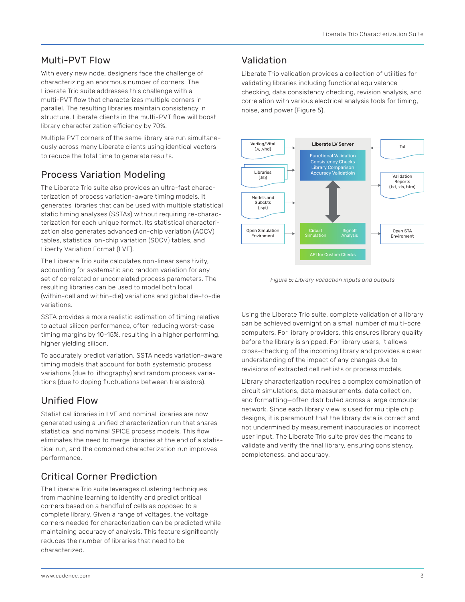#### Multi-PVT Flow

With every new node, designers face the challenge of characterizing an enormous number of corners. The Liberate Trio suite addresses this challenge with a multi-PVT flow that characterizes multiple corners in parallel. The resulting libraries maintain consistency in structure. Liberate clients in the multi-PVT flow will boost library characterization efficiency by 70%.

Multiple PVT corners of the same library are run simultaneously across many Liberate clients using identical vectors to reduce the total time to generate results.

## Process Variation Modeling

The Liberate Trio suite also provides an ultra-fast characterization of process variation-aware timing models. It generates libraries that can be used with multiple statistical static timing analyses (SSTAs) without requiring re-characterization for each unique format. Its statistical characterization also generates advanced on-chip variation (AOCV) tables, statistical on-chip variation (SOCV) tables, and Liberty Variation Format (LVF).

The Liberate Trio suite calculates non-linear sensitivity, accounting for systematic and random variation for any set of correlated or uncorrelated process parameters. The resulting libraries can be used to model both local (within-cell and within-die) variations and global die-to-die variations.

SSTA provides a more realistic estimation of timing relative to actual silicon performance, often reducing worst-case timing margins by 10-15%, resulting in a higher performing, higher yielding silicon.

To accurately predict variation, SSTA needs variation-aware timing models that account for both systematic process variations (due to lithography) and random process variations (due to doping fluctuations between transistors).

## Unified Flow

Statistical libraries in LVF and nominal libraries are now generated using a unified characterization run that shares statistical and nominal SPICE process models. This flow eliminates the need to merge libraries at the end of a statistical run, and the combined characterization run improves performance.

## Critical Corner Prediction

The Liberate Trio suite leverages clustering techniques from machine learning to identify and predict critical corners based on a handful of cells as opposed to a complete library. Given a range of voltages, the voltage corners needed for characterization can be predicted while maintaining accuracy of analysis. This feature significantly reduces the number of libraries that need to be characterized.

#### Validation

Liberate Trio validation provides a collection of utilities for validating libraries including functional equivalence checking, data consistency checking, revision analysis, and correlation with various electrical analysis tools for timing, noise, and power (Figure 5).



*Figure 5: Library validation inputs and outputs*

Using the Liberate Trio suite, complete validation of a library can be achieved overnight on a small number of multi-core computers. For library providers, this ensures library quality before the library is shipped. For library users, it allows cross-checking of the incoming library and provides a clear understanding of the impact of any changes due to revisions of extracted cell netlists or process models.

Library characterization requires a complex combination of circuit simulations, data measurements, data collection, and formatting—often distributed across a large computer network. Since each library view is used for multiple chip designs, it is paramount that the library data is correct and not undermined by measurement inaccuracies or incorrect user input. The Liberate Trio suite provides the means to validate and verify the final library, ensuring consistency, completeness, and accuracy.